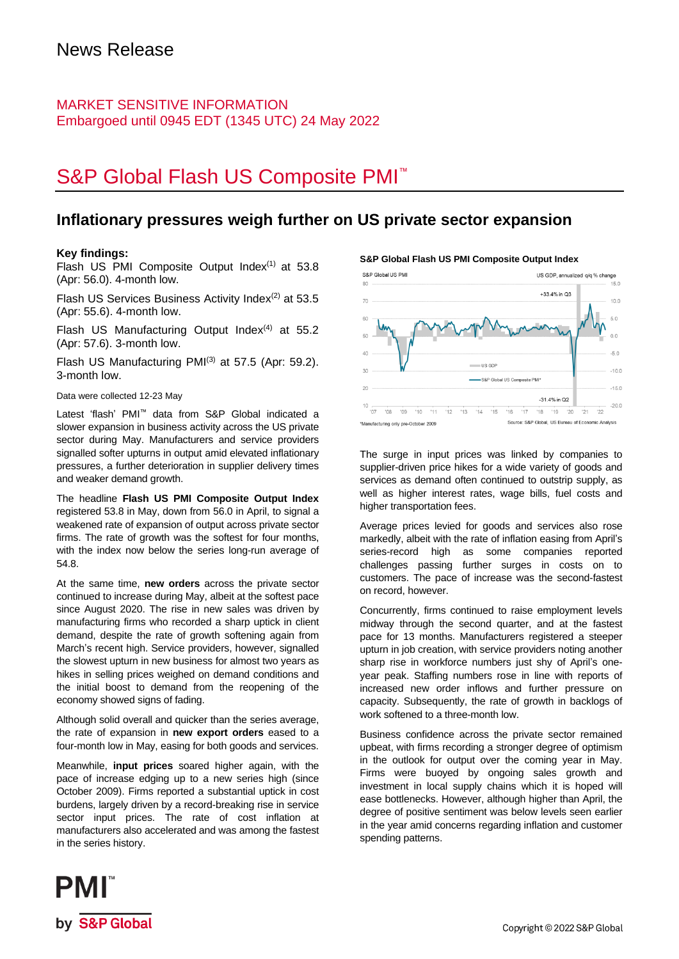# MARKET SENSITIVE INFORMATION Embargoed until 0945 EDT (1345 UTC) 24 May 2022

# S&P Global Flash US Composite PMI<sup>™</sup>

# **Inflationary pressures weigh further on US private sector expansion**

# **Key findings:**

Flash US PMI Composite Output Index $(1)$  at 53.8 (Apr: 56.0). 4-month low.

Flash US Services Business Activity Index<sup>(2)</sup> at 53.5 (Apr: 55.6). 4-month low.

Flash US Manufacturing Output Index $(4)$  at 55.2 (Apr: 57.6). 3-month low.

Flash US Manufacturing  $PMI^{(3)}$  at 57.5 (Apr: 59.2). 3-month low.

Data were collected 12-23 May

Latest 'flash' PMI™ data from S&P Global indicated a slower expansion in business activity across the US private sector during May. Manufacturers and service providers signalled softer upturns in output amid elevated inflationary pressures, a further deterioration in supplier delivery times and weaker demand growth.

The headline **Flash US PMI Composite Output Index** registered 53.8 in May, down from 56.0 in April, to signal a weakened rate of expansion of output across private sector firms. The rate of growth was the softest for four months, with the index now below the series long-run average of 54.8.

At the same time, **new orders** across the private sector continued to increase during May, albeit at the softest pace since August 2020. The rise in new sales was driven by manufacturing firms who recorded a sharp uptick in client demand, despite the rate of growth softening again from March's recent high. Service providers, however, signalled the slowest upturn in new business for almost two years as hikes in selling prices weighed on demand conditions and the initial boost to demand from the reopening of the economy showed signs of fading.

Although solid overall and quicker than the series average, the rate of expansion in **new export orders** eased to a four-month low in May, easing for both goods and services.

Meanwhile, **input prices** soared higher again, with the pace of increase edging up to a new series high (since October 2009). Firms reported a substantial uptick in cost burdens, largely driven by a record-breaking rise in service sector input prices. The rate of cost inflation at manufacturers also accelerated and was among the fastest in the series history.



The surge in input prices was linked by companies to supplier-driven price hikes for a wide variety of goods and services as demand often continued to outstrip supply, as well as higher interest rates, wage bills, fuel costs and higher transportation fees.

Average prices levied for goods and services also rose markedly, albeit with the rate of inflation easing from April's series-record high as some companies reported challenges passing further surges in costs on to customers. The pace of increase was the second-fastest on record, however.

Concurrently, firms continued to raise employment levels midway through the second quarter, and at the fastest pace for 13 months. Manufacturers registered a steeper upturn in job creation, with service providers noting another sharp rise in workforce numbers just shy of April's oneyear peak. Staffing numbers rose in line with reports of increased new order inflows and further pressure on capacity. Subsequently, the rate of growth in backlogs of work softened to a three-month low.

Business confidence across the private sector remained upbeat, with firms recording a stronger degree of optimism in the outlook for output over the coming year in May. Firms were buoyed by ongoing sales growth and investment in local supply chains which it is hoped will ease bottlenecks. However, although higher than April, the degree of positive sentiment was below levels seen earlier in the year amid concerns regarding inflation and customer spending patterns.



# **S&P Global Flash US PMI Composite Output Index**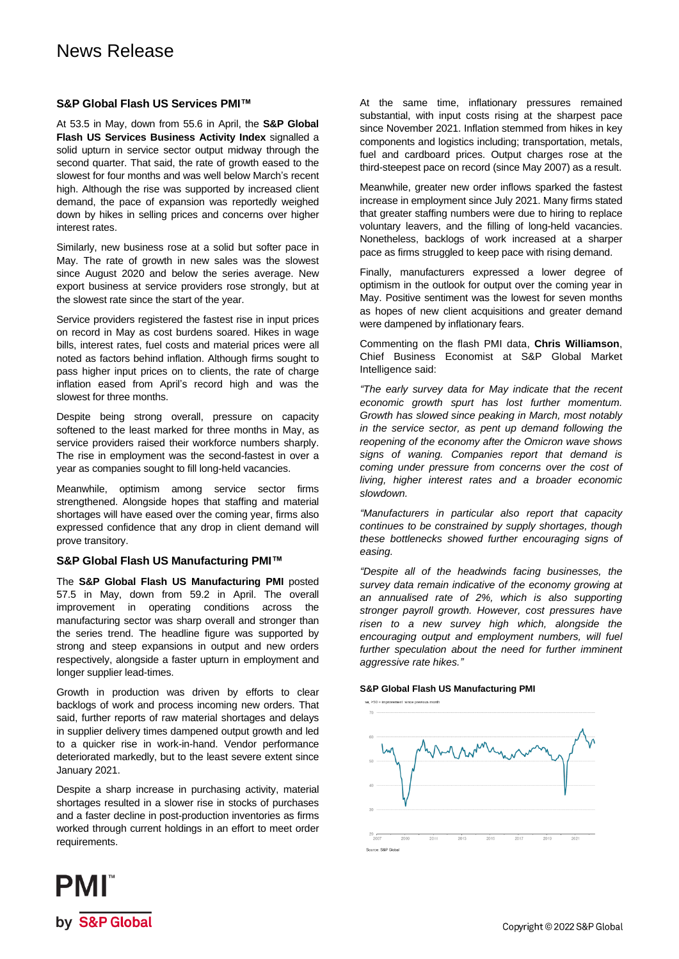# **S&P Global Flash US Services PMI™**

At 53.5 in May, down from 55.6 in April, the **S&P Global Flash US Services Business Activity Index** signalled a solid upturn in service sector output midway through the second quarter. That said, the rate of growth eased to the slowest for four months and was well below March's recent high. Although the rise was supported by increased client demand, the pace of expansion was reportedly weighed down by hikes in selling prices and concerns over higher interest rates.

Similarly, new business rose at a solid but softer pace in May. The rate of growth in new sales was the slowest since August 2020 and below the series average. New export business at service providers rose strongly, but at the slowest rate since the start of the year.

Service providers registered the fastest rise in input prices on record in May as cost burdens soared. Hikes in wage bills, interest rates, fuel costs and material prices were all noted as factors behind inflation. Although firms sought to pass higher input prices on to clients, the rate of charge inflation eased from April's record high and was the slowest for three months.

Despite being strong overall, pressure on capacity softened to the least marked for three months in May, as service providers raised their workforce numbers sharply. The rise in employment was the second-fastest in over a year as companies sought to fill long-held vacancies.

Meanwhile, optimism among service sector firms strengthened. Alongside hopes that staffing and material shortages will have eased over the coming year, firms also expressed confidence that any drop in client demand will prove transitory.

# **S&P Global Flash US Manufacturing PMI™**

The **S&P Global Flash US Manufacturing PMI** posted 57.5 in May, down from 59.2 in April. The overall improvement in operating conditions across the manufacturing sector was sharp overall and stronger than the series trend. The headline figure was supported by strong and steep expansions in output and new orders respectively, alongside a faster upturn in employment and longer supplier lead-times.

Growth in production was driven by efforts to clear backlogs of work and process incoming new orders. That said, further reports of raw material shortages and delays in supplier delivery times dampened output growth and led to a quicker rise in work-in-hand. Vendor performance deteriorated markedly, but to the least severe extent since January 2021.

Despite a sharp increase in purchasing activity, material shortages resulted in a slower rise in stocks of purchases and a faster decline in post-production inventories as firms worked through current holdings in an effort to meet order requirements.

At the same time, inflationary pressures remained substantial, with input costs rising at the sharpest pace since November 2021. Inflation stemmed from hikes in key components and logistics including; transportation, metals, fuel and cardboard prices. Output charges rose at the third-steepest pace on record (since May 2007) as a result.

Meanwhile, greater new order inflows sparked the fastest increase in employment since July 2021. Many firms stated that greater staffing numbers were due to hiring to replace voluntary leavers, and the filling of long-held vacancies. Nonetheless, backlogs of work increased at a sharper pace as firms struggled to keep pace with rising demand.

Finally, manufacturers expressed a lower degree of optimism in the outlook for output over the coming year in May. Positive sentiment was the lowest for seven months as hopes of new client acquisitions and greater demand were dampened by inflationary fears.

Commenting on the flash PMI data, **Chris Williamson**, Chief Business Economist at S&P Global Market Intelligence said:

*"The early survey data for May indicate that the recent economic growth spurt has lost further momentum. Growth has slowed since peaking in March, most notably in the service sector, as pent up demand following the reopening of the economy after the Omicron wave shows signs of waning. Companies report that demand is coming under pressure from concerns over the cost of living, higher interest rates and a broader economic slowdown.* 

*"Manufacturers in particular also report that capacity continues to be constrained by supply shortages, though these bottlenecks showed further encouraging signs of easing.* 

*"Despite all of the headwinds facing businesses, the survey data remain indicative of the economy growing at an annualised rate of 2%, which is also supporting stronger payroll growth. However, cost pressures have risen to a new survey high which, alongside the encouraging output and employment numbers, will fuel further speculation about the need for further imminent aggressive rate hikes."*

#### **S&P Global Flash US Manufacturing PMI**